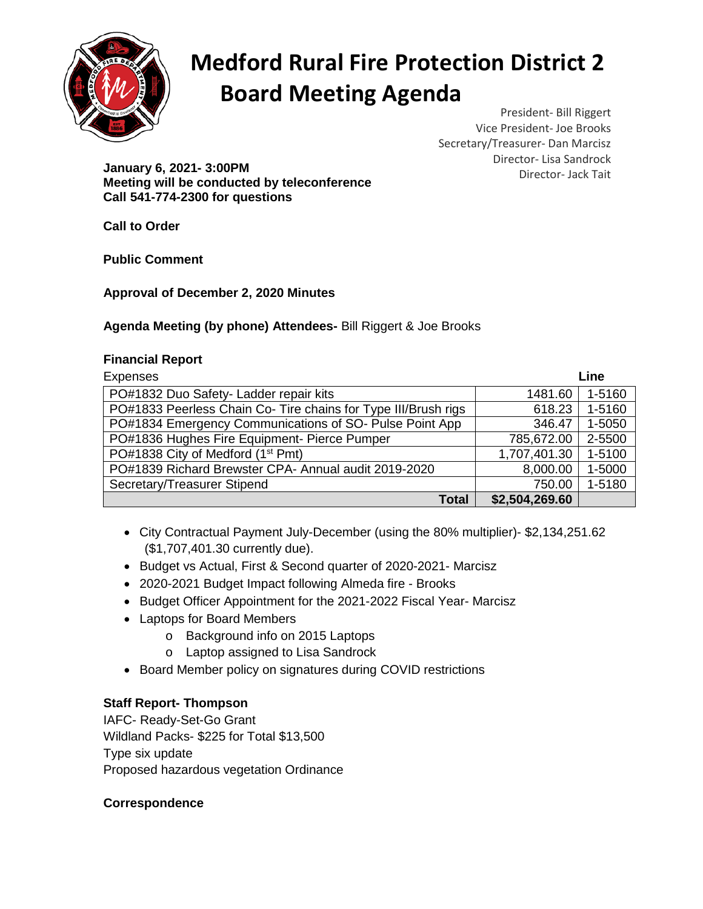

# **Medford Rural Fire Protection District 2 Board Meeting Agenda**

President- Bill Riggert Vice President- Joe Brooks Secretary/Treasurer- Dan Marcisz Director- Lisa Sandrock

Director- Jack Tait **January 6, 2021- 3:00PM Meeting will be conducted by teleconference Call 541-774-2300 for questions**

**Call to Order**

**Public Comment**

**Approval of December 2, 2020 Minutes**

### **Agenda Meeting (by phone) Attendees-** Bill Riggert & Joe Brooks

#### **Financial Report**

| <b>Expenses</b>                                                | Line           |        |
|----------------------------------------------------------------|----------------|--------|
| PO#1832 Duo Safety- Ladder repair kits                         | 1481.60        | 1-5160 |
| PO#1833 Peerless Chain Co- Tire chains for Type III/Brush rigs | 618.23         | 1-5160 |
| PO#1834 Emergency Communications of SO- Pulse Point App        | 346.47         | 1-5050 |
| PO#1836 Hughes Fire Equipment- Pierce Pumper                   | 785,672.00     | 2-5500 |
| PO#1838 City of Medford (1 <sup>st</sup> Pmt)                  | 1,707,401.30   | 1-5100 |
| PO#1839 Richard Brewster CPA- Annual audit 2019-2020           | 8,000.00       | 1-5000 |
| Secretary/Treasurer Stipend                                    | 750.00         | 1-5180 |
| <b>Total</b>                                                   | \$2,504,269.60 |        |

- City Contractual Payment July-December (using the 80% multiplier)- \$2,134,251.62 (\$1,707,401.30 currently due).
- Budget vs Actual, First & Second quarter of 2020-2021- Marcisz
- 2020-2021 Budget Impact following Almeda fire Brooks
- Budget Officer Appointment for the 2021-2022 Fiscal Year- Marcisz
- Laptops for Board Members
	- o Background info on 2015 Laptops
	- o Laptop assigned to Lisa Sandrock
- Board Member policy on signatures during COVID restrictions

## **Staff Report- Thompson**

IAFC- Ready-Set-Go Grant Wildland Packs- \$225 for Total \$13,500 Type six update Proposed hazardous vegetation Ordinance

## **Correspondence**